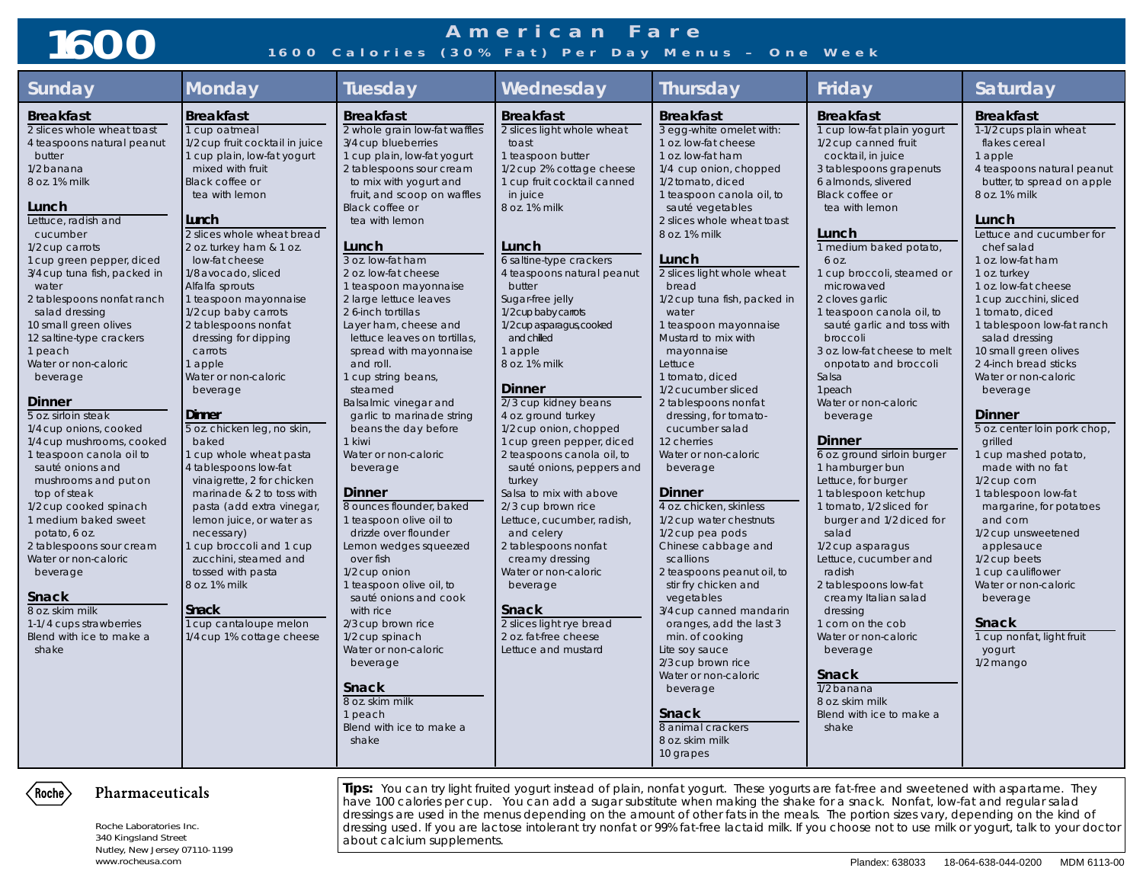## **American Fare 1600 1600 Calories (30% Fat) Per Day Menus – One Week**

| <b>Sunday</b>                                                                                                                                                                                                                                                                                                                                                                                                                                                                                                                                                                                                                                                                                                                                                                                                                        | <b>Monday</b>                                                                                                                                                                                                                                                                                                                                                                                                                                                                                                                                                                                                                                                                                                                                                                                                                                                    | <b>Tuesday</b>                                                                                                                                                                                                                                                                                                                                                                                                                                                                                                                                                                                                                                                                                                                                                                                                                                                                                                                                                                                                    | Wednesday                                                                                                                                                                                                                                                                                                                                                                                                                                                                                                                                                                                                                                                                                                                                                                                                                                 | Thursday                                                                                                                                                                                                                                                                                                                                                                                                                                                                                                                                                                                                                                                                                                                                                                                                                                                                                                                                                                                                | Friday                                                                                                                                                                                                                                                                                                                                                                                                                                                                                                                                                                                                                                                                                                                                                                                                                                                                                                                                                     | Saturday                                                                                                                                                                                                                                                                                                                                                                                                                                                                                                                                                                                                                                                                                                                                                                                                                  |
|--------------------------------------------------------------------------------------------------------------------------------------------------------------------------------------------------------------------------------------------------------------------------------------------------------------------------------------------------------------------------------------------------------------------------------------------------------------------------------------------------------------------------------------------------------------------------------------------------------------------------------------------------------------------------------------------------------------------------------------------------------------------------------------------------------------------------------------|------------------------------------------------------------------------------------------------------------------------------------------------------------------------------------------------------------------------------------------------------------------------------------------------------------------------------------------------------------------------------------------------------------------------------------------------------------------------------------------------------------------------------------------------------------------------------------------------------------------------------------------------------------------------------------------------------------------------------------------------------------------------------------------------------------------------------------------------------------------|-------------------------------------------------------------------------------------------------------------------------------------------------------------------------------------------------------------------------------------------------------------------------------------------------------------------------------------------------------------------------------------------------------------------------------------------------------------------------------------------------------------------------------------------------------------------------------------------------------------------------------------------------------------------------------------------------------------------------------------------------------------------------------------------------------------------------------------------------------------------------------------------------------------------------------------------------------------------------------------------------------------------|-------------------------------------------------------------------------------------------------------------------------------------------------------------------------------------------------------------------------------------------------------------------------------------------------------------------------------------------------------------------------------------------------------------------------------------------------------------------------------------------------------------------------------------------------------------------------------------------------------------------------------------------------------------------------------------------------------------------------------------------------------------------------------------------------------------------------------------------|---------------------------------------------------------------------------------------------------------------------------------------------------------------------------------------------------------------------------------------------------------------------------------------------------------------------------------------------------------------------------------------------------------------------------------------------------------------------------------------------------------------------------------------------------------------------------------------------------------------------------------------------------------------------------------------------------------------------------------------------------------------------------------------------------------------------------------------------------------------------------------------------------------------------------------------------------------------------------------------------------------|------------------------------------------------------------------------------------------------------------------------------------------------------------------------------------------------------------------------------------------------------------------------------------------------------------------------------------------------------------------------------------------------------------------------------------------------------------------------------------------------------------------------------------------------------------------------------------------------------------------------------------------------------------------------------------------------------------------------------------------------------------------------------------------------------------------------------------------------------------------------------------------------------------------------------------------------------------|---------------------------------------------------------------------------------------------------------------------------------------------------------------------------------------------------------------------------------------------------------------------------------------------------------------------------------------------------------------------------------------------------------------------------------------------------------------------------------------------------------------------------------------------------------------------------------------------------------------------------------------------------------------------------------------------------------------------------------------------------------------------------------------------------------------------------|
| <b>Breakfast</b><br>2 slices whole wheat toast<br>4 teaspoons natural peanut<br>butter<br>1/2 banana<br>8 oz. 1% milk<br>Lunch<br>Lettuce, radish and<br>cucumber<br>1/2 cup carrots<br>1 cup green pepper, diced<br>3/4 cup tuna fish, packed in<br>water<br>2 tablespoons nonfat ranch<br>salad dressing<br>10 small green olives<br>12 saltine-type crackers<br>1 peach<br>Water or non-caloric<br>beverage<br><b>Dinner</b><br>5 oz. sirloin steak<br>1/4 cup onions, cooked<br>1/4 cup mushrooms, cooked<br>1 teaspoon canola oil to<br>sauté onions and<br>mushrooms and put on<br>top of steak<br>1/2 cup cooked spinach<br>1 medium baked sweet<br>potato, 6 oz.<br>2 tablespoons sour cream<br>Water or non-caloric<br>beverage<br>Snack<br>8 oz. skim milk<br>1-1/4 cups strawberries<br>Blend with ice to make a<br>shake | <b>Breakfast</b><br>1 cup oatmeal<br>1/2 cup fruit cocktail in juice<br>1 cup plain, low-fat yogurt<br>mixed with fruit<br>Black coffee or<br>tea with lemon<br>Lunch<br>2 slices whole wheat bread<br>2 oz. turkey ham & 1 oz.<br>low-fat cheese<br>1/8 avocado, sliced<br>Alfalfa sprouts<br>1 teaspoon mayonnaise<br>1/2 cup baby carrots<br>2 tablespoons nonfat<br>dressing for dipping<br>carrots<br>1 apple<br>Water or non-caloric<br>beverage<br>Dinner<br>5 oz. chicken leg, no skin,<br>baked<br>1 cup whole wheat pasta<br>4 tablespoons low-fat<br>vinaigrette, 2 for chicken<br>marinade & 2 to toss with<br>pasta (add extra vinegar,<br>lemon juice, or water as<br>necessary)<br>1 cup broccoli and 1 cup<br>zucchini, steamed and<br>tossed with pasta<br>8 oz. 1% milk<br><b>Snack</b><br>1 cup cantaloupe melon<br>1/4 cup 1% cottage cheese | <b>Breakfast</b><br>2 whole grain low-fat waffles<br>3/4 cup blueberries<br>1 cup plain, low-fat yogurt<br>2 tablespoons sour cream<br>to mix with yogurt and<br>fruit, and scoop on waffles<br>Black coffee or<br>tea with lemon<br>Lunch<br>3 oz. low-fat ham<br>2 oz. low-fat cheese<br>1 teaspoon mayonnaise<br>2 large lettuce leaves<br>2 6-inch tortillas<br>Layer ham, cheese and<br>lettuce leaves on tortillas,<br>spread with mayonnaise<br>and roll.<br>1 cup string beans,<br>steamed<br>Balsalmic vinegar and<br>garlic to marinade string<br>beans the day before<br>1 kiwi<br>Water or non-caloric<br>beverage<br><b>Dinner</b><br>8 ounces flounder, baked<br>1 teaspoon olive oil to<br>drizzle over flounder<br>Lemon wedges squeezed<br>over fish<br>1/2 cup onion<br>1 teaspoon olive oil, to<br>sauté onions and cook<br>with rice<br>2/3 cup brown rice<br>1/2 cup spinach<br>Water or non-caloric<br>beverage<br>Snack<br>8 oz. skim milk<br>1 peach<br>Blend with ice to make a<br>shake | <b>Breakfast</b><br>2 slices light whole wheat<br>toast<br>1 teaspoon butter<br>1/2 cup 2% cottage cheese<br>1 cup fruit cocktail canned<br>in juice<br>8 oz. 1% milk<br>Lunch<br>6 saltine-type crackers<br>4 teaspoons natural peanut<br>butter<br>Sugar-free jelly<br>1/2 cup baby carrots<br>1/2 cup asparagus, cooked<br>and chilled<br>1 apple<br>8 oz. 1% milk<br><b>Dinner</b><br>2/3 cup kidney beans<br>4 oz. ground turkey<br>1/2 cup onion, chopped<br>1 cup green pepper, diced<br>2 teaspoons canola oil, to<br>sauté onions, peppers and<br>turkey<br>Salsa to mix with above<br>2/3 cup brown rice<br>Lettuce, cucumber, radish,<br>and celery<br>2 tablespoons nonfat<br>creamy dressing<br>Water or non-caloric<br>beverage<br><b>Snack</b><br>2 slices light rye bread<br>2 oz. fat-free cheese<br>Lettuce and mustard | <b>Breakfast</b><br>3 egg-white omelet with:<br>1 oz. low-fat cheese<br>1 oz. low-fat ham<br>1/4 cup onion, chopped<br>1/2 tomato, diced<br>1 teaspoon canola oil, to<br>sauté vegetables<br>2 slices whole wheat toast<br>8 oz. 1% milk<br>Lunch<br>2 slices light whole wheat<br>bread<br>1/2 cup tuna fish, packed in<br>water<br>1 teaspoon mayonnaise<br>Mustard to mix with<br>mayonnaise<br>Lettuce<br>1 tomato, diced<br>1/2 cucumber sliced<br>2 tablespoons nonfat<br>dressing, for tomato-<br>cucumber salad<br>12 cherries<br>Water or non-caloric<br>beverage<br><b>Dinner</b><br>4 oz. chicken, skinless<br>1/2 cup water chestnuts<br>1/2 cup pea pods<br>Chinese cabbage and<br>scallions<br>2 teaspoons peanut oil, to<br>stir fry chicken and<br>vegetables<br>3/4 cup canned mandarin<br>oranges, add the last 3<br>min. of cooking<br>Lite soy sauce<br>2/3 cup brown rice<br>Water or non-caloric<br>beverage<br><b>Snack</b><br>8 animal crackers<br>8 oz. skim milk<br>10 grapes | <b>Breakfast</b><br>1 cup low-fat plain yogurt<br>1/2 cup canned fruit<br>cocktail, in juice<br>3 tablespoons grapenuts<br>6 almonds, slivered<br>Black coffee or<br>tea with lemon<br>Lunch<br>1 medium baked potato,<br>6 OZ.<br>1 cup broccoli, steamed or<br>microwaved<br>2 cloves garlic<br>1 teaspoon canola oil, to<br>sauté garlic and toss with<br>broccoli<br>3 oz. low-fat cheese to melt<br>onpotato and broccoli<br>Salsa<br>1 peach<br>Water or non-caloric<br>beverage<br><b>Dinner</b><br>6 oz. ground sirloin burger<br>1 hamburger bun<br>Lettuce, for burger<br>1 tablespoon ketchup<br>1 tomato, 1/2 sliced for<br>burger and 1/2 diced for<br>salad<br>1/2 cup asparagus<br>Lettuce, cucumber and<br>radish<br>2 tablespoons low-fat<br>creamy Italian salad<br>dressing<br>1 corn on the cob<br>Water or non-caloric<br>beverage<br><b>Snack</b><br>$\overline{1/2}$ banana<br>8 oz. skim milk<br>Blend with ice to make a<br>shake | <b>Breakfast</b><br>1-1/2 cups plain wheat<br>flakes cereal<br>1 apple<br>4 teaspoons natural peanut<br>butter, to spread on apple<br>8 oz. 1% milk<br>Lunch<br>Lettuce and cucumber for<br>chef salad<br>1 oz. low-fat ham<br>1 oz. turkey<br>1 oz. low-fat cheese<br>1 cup zucchini, sliced<br>1 tomato, diced<br>1 tablespoon low-fat ranch<br>salad dressing<br>10 small green olives<br>2 4-inch bread sticks<br>Water or non-caloric<br>beverage<br><b>Dinner</b><br>5 oz. center loin pork chop,<br>grilled<br>1 cup mashed potato,<br>made with no fat<br>1/2 cup corn<br>1 tablespoon low-fat<br>margarine, for potatoes<br>and corn<br>1/2 cup unsweetened<br>applesauce<br>1/2 cup beets<br>1 cup cauliflower<br>Water or non-caloric<br>beverage<br>Snack<br>1 cup nonfat, light fruit<br>yogurt<br>1/2 mango |
| Pharmaceuticals<br>Roche)<br>Roche Laboratories Inc.                                                                                                                                                                                                                                                                                                                                                                                                                                                                                                                                                                                                                                                                                                                                                                                 |                                                                                                                                                                                                                                                                                                                                                                                                                                                                                                                                                                                                                                                                                                                                                                                                                                                                  |                                                                                                                                                                                                                                                                                                                                                                                                                                                                                                                                                                                                                                                                                                                                                                                                                                                                                                                                                                                                                   | <b>Tips:</b> You can try light fruited yogurt instead of plain, nonfat yogurt. These yogurts are fat-free and sweetened with aspartame. They<br>have 100 calories per cup. You can add a sugar substitute when making the shake for a snack. Nonfat, low-fat and regular salad<br>dressings are used in the menus depending on the amount of other fats in the meals. The portion sizes vary, depending on the kind of                                                                                                                                                                                                                                                                                                                                                                                                                    |                                                                                                                                                                                                                                                                                                                                                                                                                                                                                                                                                                                                                                                                                                                                                                                                                                                                                                                                                                                                         |                                                                                                                                                                                                                                                                                                                                                                                                                                                                                                                                                                                                                                                                                                                                                                                                                                                                                                                                                            | dressing used If you are lactose intolerant try nonfat or 99% fat-free lactaid milk If you choose not to use milk or yogurt, talk to your doctor                                                                                                                                                                                                                                                                                                                                                                                                                                                                                                                                                                                                                                                                          |

340 Kingsland Street Nutley, New Jersey 07110-1199

dressing used. If you are lactose intolerant try nonfat or 99% fat-free lactaid milk. If you choose not to use milk or yogurt, talk to your doctor about calcium supplements.